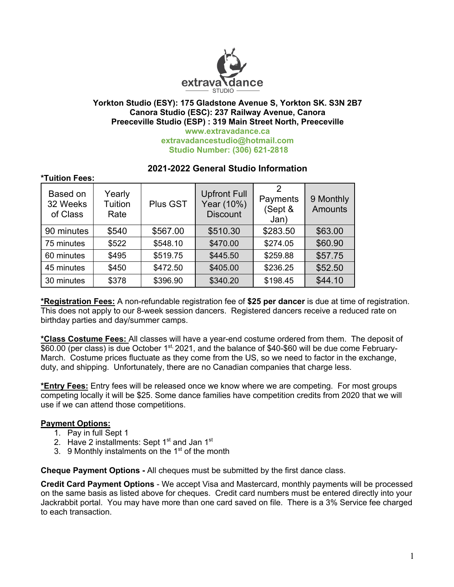

#### **Yorkton Studio (ESY): 175 Gladstone Avenue S, Yorkton SK. S3N 2B7 Canora Studio (ESC): 237 Railway Avenue, Canora Preeceville Studio (ESP) : 319 Main Street North, Preeceville www.extravadance.ca extravadancestudio@hotmail.com Studio Number: (306) 621-2818**

| TUILIUIT FEES.                   |                           |          |                                                      |                                  |                      |
|----------------------------------|---------------------------|----------|------------------------------------------------------|----------------------------------|----------------------|
| Based on<br>32 Weeks<br>of Class | Yearly<br>Tuition<br>Rate | Plus GST | <b>Upfront Full</b><br>Year (10%)<br><b>Discount</b> | 2<br>Payments<br>(Sept &<br>Jan) | 9 Monthly<br>Amounts |
| 90 minutes                       | \$540                     | \$567.00 | \$510.30                                             | \$283.50                         | \$63.00              |
| 75 minutes                       | \$522                     | \$548.10 | \$470.00                                             | \$274.05                         | \$60.90              |
| 60 minutes                       | \$495                     | \$519.75 | \$445.50                                             | \$259.88                         | \$57.75              |
| 45 minutes                       | \$450                     | \$472.50 | \$405.00                                             | \$236.25                         | \$52.50              |
| 30 minutes                       | \$378                     | \$396.90 | \$340.20                                             | \$198.45                         | \$44.10              |

# **2021-2022 General Studio Information**

**\*Registration Fees:** A non-refundable registration fee of **\$25 per dancer** is due at time of registration. This does not apply to our 8-week session dancers. Registered dancers receive a reduced rate on birthday parties and day/summer camps.

**\*Class Costume Fees:** All classes will have a year-end costume ordered from them. The deposit of \$60.00 (per class) is due October 1<sup>st,</sup> 2021, and the balance of \$40-\$60 will be due come February-March. Costume prices fluctuate as they come from the US, so we need to factor in the exchange, duty, and shipping. Unfortunately, there are no Canadian companies that charge less.

**\*Entry Fees:** Entry fees will be released once we know where we are competing. For most groups competing locally it will be \$25. Some dance families have competition credits from 2020 that we will use if we can attend those competitions.

#### **Payment Options:**

**\*Tuition Fees:**

- 1. Pay in full Sept 1
- 2. Have 2 installments: Sept  $1<sup>st</sup>$  and Jan  $1<sup>st</sup>$
- 3. 9 Monthly instalments on the  $1<sup>st</sup>$  of the month

**Cheque Payment Options -** All cheques must be submitted by the first dance class.

**Credit Card Payment Options** - We accept Visa and Mastercard, monthly payments will be processed on the same basis as listed above for cheques. Credit card numbers must be entered directly into your Jackrabbit portal. You may have more than one card saved on file. There is a 3% Service fee charged to each transaction.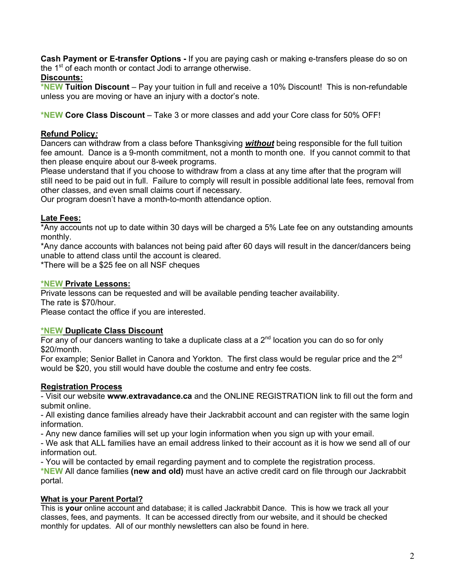**Cash Payment or E-transfer Options -** If you are paying cash or making e-transfers please do so on the  $1<sup>st</sup>$  of each month or contact Jodi to arrange otherwise.

## **Discounts:**

**\*NEW Tuition Discount** – Pay your tuition in full and receive a 10% Discount! This is non-refundable unless you are moving or have an injury with a doctor's note.

**\*NEW Core Class Discount** – Take 3 or more classes and add your Core class for 50% OFF!

## **Refund Policy***:*

Dancers can withdraw from a class before Thanksgiving *without* being responsible for the full tuition fee amount. Dance is a 9-month commitment, not a month to month one. If you cannot commit to that then please enquire about our 8-week programs.

Please understand that if you choose to withdraw from a class at any time after that the program will still need to be paid out in full. Failure to comply will result in possible additional late fees, removal from other classes, and even small claims court if necessary.

Our program doesn't have a month-to-month attendance option.

## **Late Fees:**

\*Any accounts not up to date within 30 days will be charged a 5% Late fee on any outstanding amounts monthly.

\*Any dance accounts with balances not being paid after 60 days will result in the dancer/dancers being unable to attend class until the account is cleared.

\*There will be a \$25 fee on all NSF cheques

## **\*NEW Private Lessons:**

Private lessons can be requested and will be available pending teacher availability.

The rate is \$70/hour.

Please contact the office if you are interested.

#### **\*NEW Duplicate Class Discount**

For any of our dancers wanting to take a duplicate class at a  $2<sup>nd</sup>$  location you can do so for only \$20/month.

For example; Senior Ballet in Canora and Yorkton. The first class would be regular price and the 2<sup>nd</sup> would be \$20, you still would have double the costume and entry fee costs.

# **Registration Process**

- Visit our website **www.extravadance.ca** and the ONLINE REGISTRATION link to fill out the form and submit online.

- All existing dance families already have their Jackrabbit account and can register with the same login information.

- Any new dance families will set up your login information when you sign up with your email.

- We ask that ALL families have an email address linked to their account as it is how we send all of our information out.

- You will be contacted by email regarding payment and to complete the registration process.

**\*NEW** All dance families **(new and old)** must have an active credit card on file through our Jackrabbit portal.

# **What is your Parent Portal?**

This is **your** online account and database; it is called Jackrabbit Dance. This is how we track all your classes, fees, and payments. It can be accessed directly from our website, and it should be checked monthly for updates. All of our monthly newsletters can also be found in here.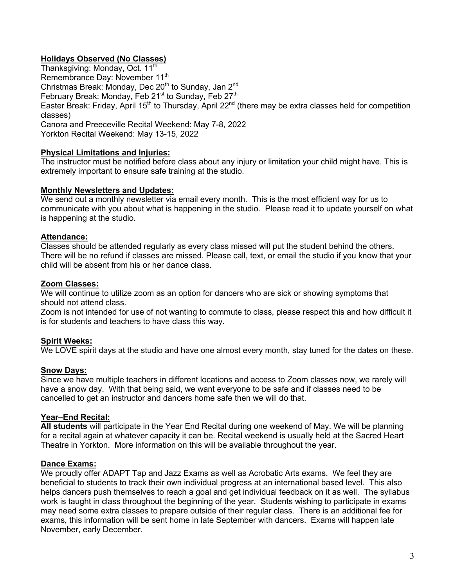# **Holidays Observed (No Classes)**

Thanksgiving: Monday, Oct. 11<sup>th</sup> Remembrance Day: November 11<sup>th</sup> Christmas Break: Monday, Dec  $20<sup>th</sup>$  to Sunday, Jan  $2<sup>nd</sup>$ February Break: Monday, Feb 21<sup>st</sup> to Sunday, Feb 27<sup>th</sup> Easter Break: Friday, April 15<sup>th</sup> to Thursday, April 22<sup>nd</sup> (there may be extra classes held for competition classes) Canora and Preeceville Recital Weekend: May 7-8, 2022 Yorkton Recital Weekend: May 13-15, 2022

## **Physical Limitations and Injuries:**

The instructor must be notified before class about any injury or limitation your child might have. This is extremely important to ensure safe training at the studio.

#### **Monthly Newsletters and Updates:**

We send out a monthly newsletter via email every month. This is the most efficient way for us to communicate with you about what is happening in the studio. Please read it to update yourself on what is happening at the studio.

## **Attendance:**

Classes should be attended regularly as every class missed will put the student behind the others. There will be no refund if classes are missed. Please call, text, or email the studio if you know that your child will be absent from his or her dance class.

#### **Zoom Classes:**

We will continue to utilize zoom as an option for dancers who are sick or showing symptoms that should not attend class.

Zoom is not intended for use of not wanting to commute to class, please respect this and how difficult it is for students and teachers to have class this way.

# **Spirit Weeks:**

We LOVE spirit days at the studio and have one almost every month, stay tuned for the dates on these.

#### **Snow Days:**

Since we have multiple teachers in different locations and access to Zoom classes now, we rarely will have a snow day. With that being said, we want everyone to be safe and if classes need to be cancelled to get an instructor and dancers home safe then we will do that.

#### **Year–End Recital:**

**All students** will participate in the Year End Recital during one weekend of May. We will be planning for a recital again at whatever capacity it can be. Recital weekend is usually held at the Sacred Heart Theatre in Yorkton. More information on this will be available throughout the year.

#### **Dance Exams:**

We proudly offer ADAPT Tap and Jazz Exams as well as Acrobatic Arts exams. We feel they are beneficial to students to track their own individual progress at an international based level. This also helps dancers push themselves to reach a goal and get individual feedback on it as well. The syllabus work is taught in class throughout the beginning of the year. Students wishing to participate in exams may need some extra classes to prepare outside of their regular class. There is an additional fee for exams, this information will be sent home in late September with dancers. Exams will happen late November, early December.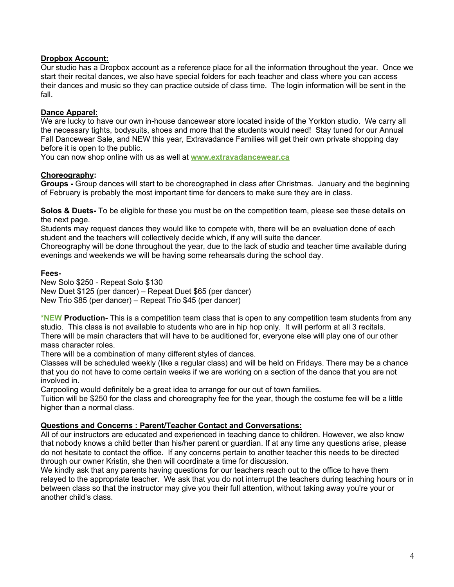#### **Dropbox Account:**

Our studio has a Dropbox account as a reference place for all the information throughout the year. Once we start their recital dances, we also have special folders for each teacher and class where you can access their dances and music so they can practice outside of class time. The login information will be sent in the fall.

#### **Dance Apparel:**

We are lucky to have our own in-house dancewear store located inside of the Yorkton studio. We carry all the necessary tights, bodysuits, shoes and more that the students would need! Stay tuned for our Annual Fall Dancewear Sale, and NEW this year, Extravadance Families will get their own private shopping day before it is open to the public.

You can now shop online with us as well at **www.extravadancewear.ca**

#### **Choreography:**

**Groups -** Group dances will start to be choreographed in class after Christmas. January and the beginning of February is probably the most important time for dancers to make sure they are in class.

**Solos & Duets-** To be eligible for these you must be on the competition team, please see these details on the next page.

Students may request dances they would like to compete with, there will be an evaluation done of each student and the teachers will collectively decide which, if any will suite the dancer.

Choreography will be done throughout the year, due to the lack of studio and teacher time available during evenings and weekends we will be having some rehearsals during the school day.

#### **Fees-**

New Solo \$250 - Repeat Solo \$130 New Duet \$125 (per dancer) – Repeat Duet \$65 (per dancer) New Trio \$85 (per dancer) – Repeat Trio \$45 (per dancer)

**\*NEW Production-** This is a competition team class that is open to any competition team students from any studio. This class is not available to students who are in hip hop only. It will perform at all 3 recitals. There will be main characters that will have to be auditioned for, everyone else will play one of our other mass character roles.

There will be a combination of many different styles of dances.

Classes will be scheduled weekly (like a regular class) and will be held on Fridays. There may be a chance that you do not have to come certain weeks if we are working on a section of the dance that you are not involved in.

Carpooling would definitely be a great idea to arrange for our out of town families.

Tuition will be \$250 for the class and choreography fee for the year, though the costume fee will be a little higher than a normal class.

#### **Questions and Concerns : Parent/Teacher Contact and Conversations:**

All of our instructors are educated and experienced in teaching dance to children. However, we also know that nobody knows a child better than his/her parent or guardian. If at any time any questions arise, please do not hesitate to contact the office. If any concerns pertain to another teacher this needs to be directed through our owner Kristin, she then will coordinate a time for discussion.

We kindly ask that any parents having questions for our teachers reach out to the office to have them relayed to the appropriate teacher. We ask that you do not interrupt the teachers during teaching hours or in between class so that the instructor may give you their full attention, without taking away you're your or another child's class.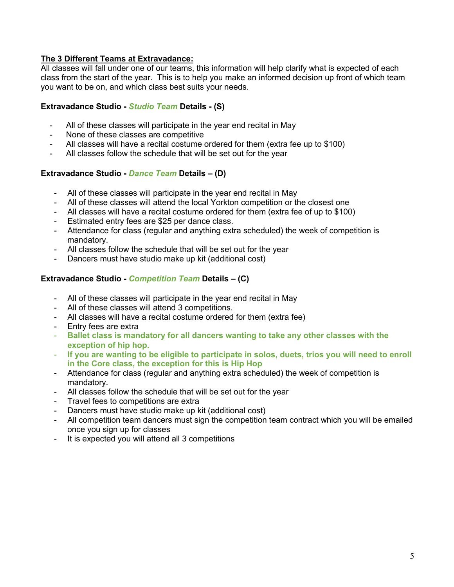## **The 3 Different Teams at Extravadance:**

All classes will fall under one of our teams, this information will help clarify what is expected of each class from the start of the year. This is to help you make an informed decision up front of which team you want to be on, and which class best suits your needs.

## **Extravadance Studio -** *Studio Team* **Details - (S)**

- All of these classes will participate in the year end recital in May
- None of these classes are competitive
- All classes will have a recital costume ordered for them (extra fee up to \$100)
- All classes follow the schedule that will be set out for the year

#### **Extravadance Studio -** *Dance Team* **Details – (D)**

- All of these classes will participate in the year end recital in May
- All of these classes will attend the local Yorkton competition or the closest one
- All classes will have a recital costume ordered for them (extra fee of up to \$100)
- Estimated entry fees are \$25 per dance class.
- Attendance for class (regular and anything extra scheduled) the week of competition is mandatory.
- All classes follow the schedule that will be set out for the year
- Dancers must have studio make up kit (additional cost)

#### **Extravadance Studio -** *Competition Team* **Details – (C)**

- All of these classes will participate in the year end recital in May
- All of these classes will attend 3 competitions.
- All classes will have a recital costume ordered for them (extra fee)
- Entry fees are extra
- **Ballet class is mandatory for all dancers wanting to take any other classes with the exception of hip hop.**
- **If you are wanting to be eligible to participate in solos, duets, trios you will need to enroll in the Core class, the exception for this is Hip Hop**
- Attendance for class (regular and anything extra scheduled) the week of competition is mandatory.
- All classes follow the schedule that will be set out for the year
- Travel fees to competitions are extra
- Dancers must have studio make up kit (additional cost)
- All competition team dancers must sign the competition team contract which you will be emailed once you sign up for classes
- It is expected you will attend all 3 competitions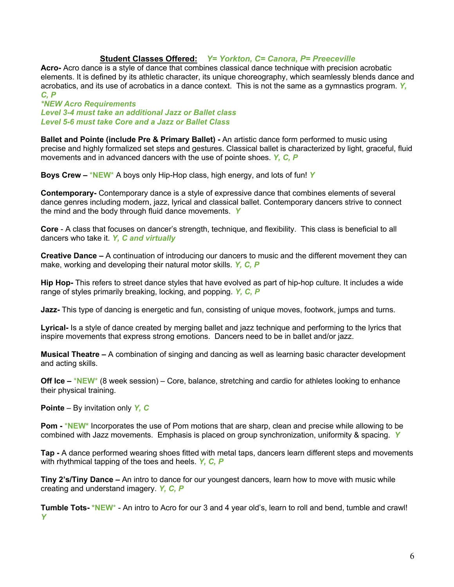#### **Student Classes Offered:** *Y= Yorkton, C= Canora, P= Preeceville*

**Acro-** Acro dance is a style of dance that combines classical dance technique with precision acrobatic elements. It is defined by its athletic character, its unique choreography, which seamlessly blends dance and acrobatics, and its use of acrobatics in a dance context. This is not the same as a gymnastics program. *Y, C, P*

*\*NEW Acro Requirements Level 3-4 must take an additional Jazz or Ballet class Level 5-6 must take Core and a Jazz or Ballet Class*

**Ballet and Pointe (include Pre & Primary Ballet) -** An artistic dance form performed to music using precise and highly formalized set steps and gestures. Classical ballet is characterized by light, graceful, fluid movements and in advanced dancers with the use of pointe shoes. *Y, C, P*

**Boys Crew –** \***NEW**\* A boys only Hip-Hop class, high energy, and lots of fun! *Y*

**Contemporary-** Contemporary dance is a style of expressive dance that combines elements of several dance genres including modern, jazz, lyrical and classical ballet. Contemporary dancers strive to connect the mind and the body through fluid dance movements. *Y*

**Core** - A class that focuses on dancer's strength, technique, and flexibility. This class is beneficial to all dancers who take it. *Y, C and virtually* 

**Creative Dance –** A continuation of introducing our dancers to music and the different movement they can make, working and developing their natural motor skills. *Y, C, P*

**Hip Hop-** This refers to street dance styles that have evolved as part of hip-hop culture. It includes a wide range of styles primarily breaking, locking, and popping. *Y, C, P*

**Jazz-** This type of dancing is energetic and fun, consisting of unique moves, footwork, jumps and turns.

**Lyrical-** Is a style of dance created by merging ballet and jazz technique and performing to the lyrics that inspire movements that express strong emotions. Dancers need to be in ballet and/or jazz.

**Musical Theatre –** A combination of singing and dancing as well as learning basic character development and acting skills.

**Off Ice –** \***NEW**\* (8 week session) – Core, balance, stretching and cardio for athletes looking to enhance their physical training.

**Pointe** – By invitation only *Y, C*

**Pom -** \***NEW\*** Incorporates the use of Pom motions that are sharp, clean and precise while allowing to be combined with Jazz movements. Emphasis is placed on group synchronization, uniformity & spacing. *Y*

**Tap -** A dance performed wearing shoes fitted with metal taps, dancers learn different steps and movements with rhythmical tapping of the toes and heels. *Y, C, P*

**Tiny 2's/Tiny Dance –** An intro to dance for our youngest dancers, learn how to move with music while creating and understand imagery. *Y, C, P*

**Tumble Tots- \*NEW**\* - An intro to Acro for our 3 and 4 year old's, learn to roll and bend, tumble and crawl! *Y*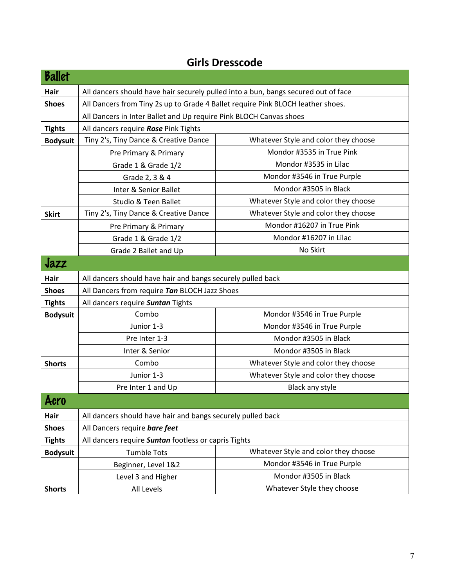| <b>Ballet</b>   |                                                                                    |                                                                    |  |  |
|-----------------|------------------------------------------------------------------------------------|--------------------------------------------------------------------|--|--|
| Hair            | All dancers should have hair securely pulled into a bun, bangs secured out of face |                                                                    |  |  |
| <b>Shoes</b>    | All Dancers from Tiny 2s up to Grade 4 Ballet require Pink BLOCH leather shoes.    |                                                                    |  |  |
|                 |                                                                                    | All Dancers in Inter Ballet and Up require Pink BLOCH Canvas shoes |  |  |
| <b>Tights</b>   | All dancers require Rose Pink Tights                                               |                                                                    |  |  |
| <b>Bodysuit</b> | Tiny 2's, Tiny Dance & Creative Dance                                              | Whatever Style and color they choose                               |  |  |
|                 | Pre Primary & Primary                                                              | Mondor #3535 in True Pink                                          |  |  |
|                 | Grade 1 & Grade 1/2                                                                | Mondor #3535 in Lilac                                              |  |  |
|                 | Grade 2, 3 & 4                                                                     | Mondor #3546 in True Purple                                        |  |  |
|                 | Inter & Senior Ballet                                                              | Mondor #3505 in Black                                              |  |  |
|                 | <b>Studio &amp; Teen Ballet</b>                                                    | Whatever Style and color they choose                               |  |  |
| <b>Skirt</b>    | Tiny 2's, Tiny Dance & Creative Dance                                              | Whatever Style and color they choose                               |  |  |
|                 | Pre Primary & Primary                                                              | Mondor #16207 in True Pink                                         |  |  |
|                 | Grade 1 & Grade 1/2                                                                | Mondor #16207 in Lilac                                             |  |  |
|                 | Grade 2 Ballet and Up                                                              | No Skirt                                                           |  |  |
| Jazz            |                                                                                    |                                                                    |  |  |
| Hair            | All dancers should have hair and bangs securely pulled back                        |                                                                    |  |  |
| <b>Shoes</b>    | All Dancers from require Tan BLOCH Jazz Shoes                                      |                                                                    |  |  |
| <b>Tights</b>   | All dancers require Suntan Tights                                                  |                                                                    |  |  |
| <b>Bodysuit</b> | Combo<br>Mondor #3546 in True Purple                                               |                                                                    |  |  |
|                 | Junior 1-3                                                                         | Mondor #3546 in True Purple                                        |  |  |
|                 | Pre Inter 1-3                                                                      | Mondor #3505 in Black                                              |  |  |
|                 | Inter & Senior                                                                     | Mondor #3505 in Black                                              |  |  |
| <b>Shorts</b>   | Combo                                                                              | Whatever Style and color they choose                               |  |  |
|                 | Junior 1-3                                                                         | Whatever Style and color they choose                               |  |  |
|                 | Pre Inter 1 and Up<br>Black any style                                              |                                                                    |  |  |
| Acro            |                                                                                    |                                                                    |  |  |
| Hair            | All dancers should have hair and bangs securely pulled back                        |                                                                    |  |  |
| <b>Shoes</b>    | All Dancers require bare feet                                                      |                                                                    |  |  |
| <b>Tights</b>   | All dancers require Suntan footless or capris Tights                               |                                                                    |  |  |
| <b>Bodysuit</b> | <b>Tumble Tots</b>                                                                 | Whatever Style and color they choose                               |  |  |
|                 | Beginner, Level 1&2                                                                | Mondor #3546 in True Purple                                        |  |  |
|                 | Level 3 and Higher                                                                 | Mondor #3505 in Black                                              |  |  |
| <b>Shorts</b>   | All Levels                                                                         | Whatever Style they choose                                         |  |  |

# **Girls Dresscode**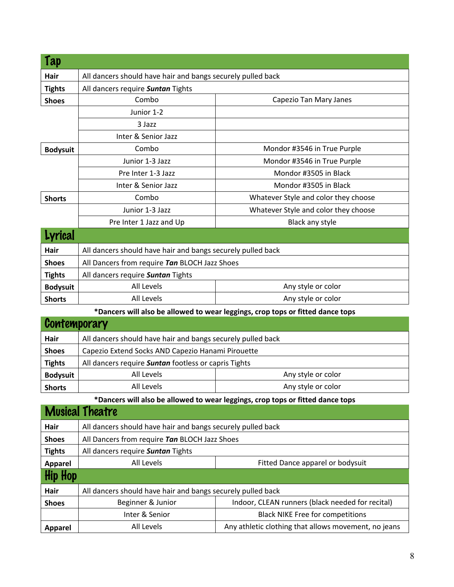| Tap             |                                                             |                                                                                |  |
|-----------------|-------------------------------------------------------------|--------------------------------------------------------------------------------|--|
| Hair            | All dancers should have hair and bangs securely pulled back |                                                                                |  |
| <b>Tights</b>   | All dancers require Suntan Tights                           |                                                                                |  |
| <b>Shoes</b>    | Combo                                                       | Capezio Tan Mary Janes                                                         |  |
|                 | Junior 1-2                                                  |                                                                                |  |
|                 | 3 Jazz                                                      |                                                                                |  |
|                 | Inter & Senior Jazz                                         |                                                                                |  |
| <b>Bodysuit</b> | Combo                                                       | Mondor #3546 in True Purple                                                    |  |
|                 | Junior 1-3 Jazz                                             | Mondor #3546 in True Purple                                                    |  |
|                 | Pre Inter 1-3 Jazz                                          | Mondor #3505 in Black                                                          |  |
|                 | Inter & Senior Jazz                                         | Mondor #3505 in Black                                                          |  |
| <b>Shorts</b>   | Combo                                                       | Whatever Style and color they choose                                           |  |
|                 | Junior 1-3 Jazz                                             | Whatever Style and color they choose                                           |  |
|                 | Pre Inter 1 Jazz and Up                                     | Black any style                                                                |  |
| Lyrical         |                                                             |                                                                                |  |
| Hair            | All dancers should have hair and bangs securely pulled back |                                                                                |  |
| <b>Shoes</b>    | All Dancers from require Tan BLOCH Jazz Shoes               |                                                                                |  |
| <b>Tights</b>   | All dancers require Suntan Tights                           |                                                                                |  |
| <b>Bodysuit</b> | <b>All Levels</b>                                           | Any style or color                                                             |  |
| <b>Shorts</b>   | All Levels                                                  | Any style or color                                                             |  |
|                 |                                                             | *Dancers will also be allowed to wear leggings, crop tops or fitted dance tops |  |
| Contemporary    |                                                             |                                                                                |  |
| Hair            | All dancers should have hair and bangs securely pulled back |                                                                                |  |
| <b>Shoes</b>    | Capezio Extend Socks AND Capezio Hanami Pirouette           |                                                                                |  |
| <b>Tights</b>   | All dancers require Suntan footless or capris Tights        |                                                                                |  |
| <b>Bodysuit</b> | All Levels                                                  | Any style or color                                                             |  |
| <b>Shorts</b>   | All Levels                                                  | Any style or color                                                             |  |
|                 |                                                             | *Dancers will also be allowed to wear leggings, crop tops or fitted dance tops |  |
|                 | <b>Musical Theatre</b>                                      |                                                                                |  |
| Hair            | All dancers should have hair and bangs securely pulled back |                                                                                |  |
| <b>Shoes</b>    | All Dancers from require Tan BLOCH Jazz Shoes               |                                                                                |  |
| <b>Tights</b>   | All dancers require Suntan Tights                           |                                                                                |  |
| <b>Apparel</b>  | All Levels                                                  | Fitted Dance apparel or bodysuit                                               |  |
| Hip Hop         |                                                             |                                                                                |  |
| Hair            | All dancers should have hair and bangs securely pulled back |                                                                                |  |